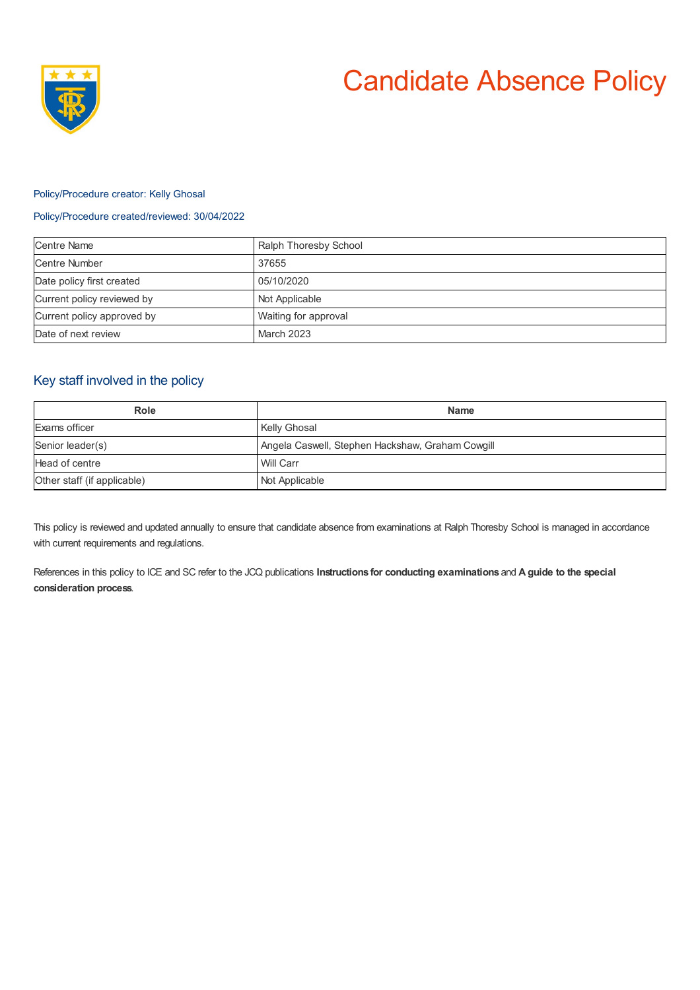

# Candidate Absence Policy

#### Policy/Procedure creator: Kelly Ghosal

### Policy/Procedure created/reviewed: 30/04/2022

| <b>Centre Name</b>         | Ralph Thoresby School |
|----------------------------|-----------------------|
| <b>Centre Number</b>       | 37655                 |
| Date policy first created  | 05/10/2020            |
| Current policy reviewed by | Not Applicable        |
| Current policy approved by | Waiting for approval  |
| Date of next review        | March 2023            |

# Key staff involved in the policy

| Role                        | <b>Name</b>                                      |
|-----------------------------|--------------------------------------------------|
| Exams officer               | <b>Kelly Ghosal</b>                              |
| Senior leader(s)            | Angela Caswell, Stephen Hackshaw, Graham Cowgill |
| Head of centre              | Will Carr                                        |
| Other staff (if applicable) | Not Applicable                                   |

This policy is reviewed and updated annually to ensure that candidate absence from examinations at Ralph Thoresby School is managed in accordance with current requirements and regulations.

References in this policy to ICE and SC refer to the JCQ publications **Instructions for conducting examinations** and **A guide to the special consideration process**.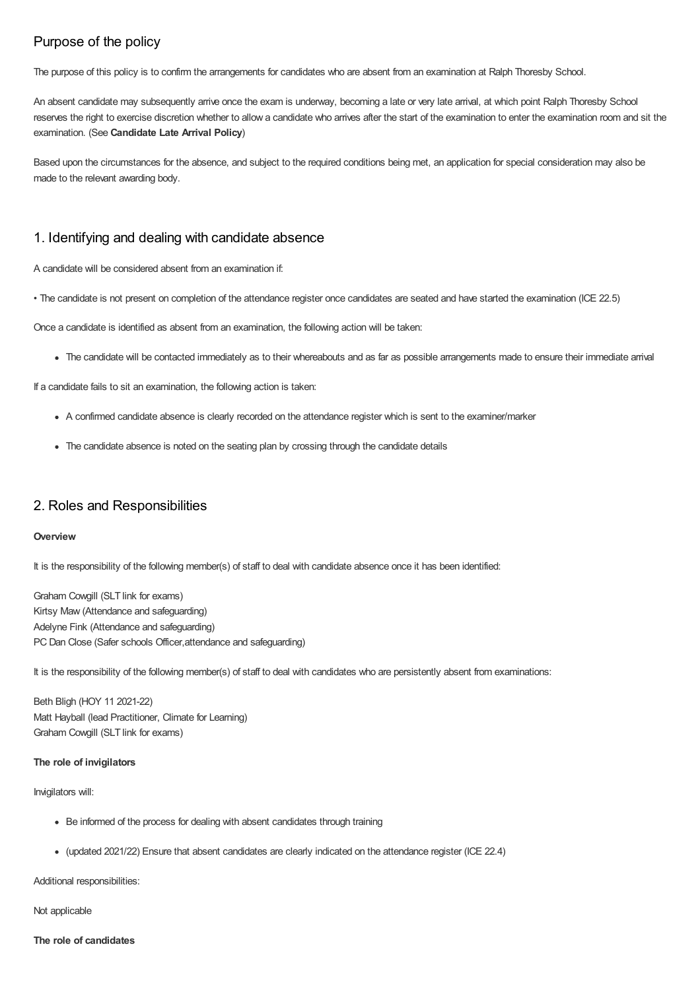# Purpose of the policy

The purpose of this policy is to confirm the arrangements for candidates who are absent from an examination at Ralph Thoresby School.

An absent candidate may subsequently arrive once the exam is underway, becoming a late or very late arrival, at which point Ralph Thoresby School reserves the right to exercise discretion whether to allow a candidate who arrives after the start of the examination to enter the examination room and sit the examination. (See **Candidate Late Arrival Policy**)

Based upon the circumstances for the absence, and subject to the required conditions being met, an application for special consideration may also be made to the relevant awarding body.

## 1. Identifying and dealing with candidate absence

A candidate will be considered absent from an examination if:

• The candidate is not present on completion of the attendance register once candidates are seated and have started the examination (ICE 22.5)

Once a candidate is identified as absent from an examination, the following action will be taken:

The candidate will be contacted immediately as to their whereabouts and as far as possible arrangements made to ensure their immediate arrival

If a candidate fails to sit an examination, the following action is taken:

- A confirmed candidate absence is clearly recorded on the attendance register which is sent to the examiner/marker
- The candidate absence is noted on the seating plan by crossing through the candidate details

## 2. Roles and Responsibilities

#### **Overview**

It is the responsibility of the following member(s) of staff to deal with candidate absence once it has been identified:

Graham Cowgill (SLT link for exams) Kirtsy Maw (Attendance and safeguarding) Adelyne Fink (Attendance and safeguarding) PC Dan Close (Safer schools Officer, attendance and safeguarding)

It is the responsibility of the following member(s) of staff to deal with candidates who are persistently absent from examinations:

Beth Bligh (HOY 11 2021-22) Matt Hayball (lead Practitioner, Climate for Learning) Graham Cowgill (SLT link for exams)

#### **The role of invigilators**

Invigilators will:

- Be informed of the process for dealing with absent candidates through training
- (updated 2021/22) Ensure that absent candidates are clearly indicated on the attendance register (ICE 22.4)

Additional responsibilities:

Not applicable